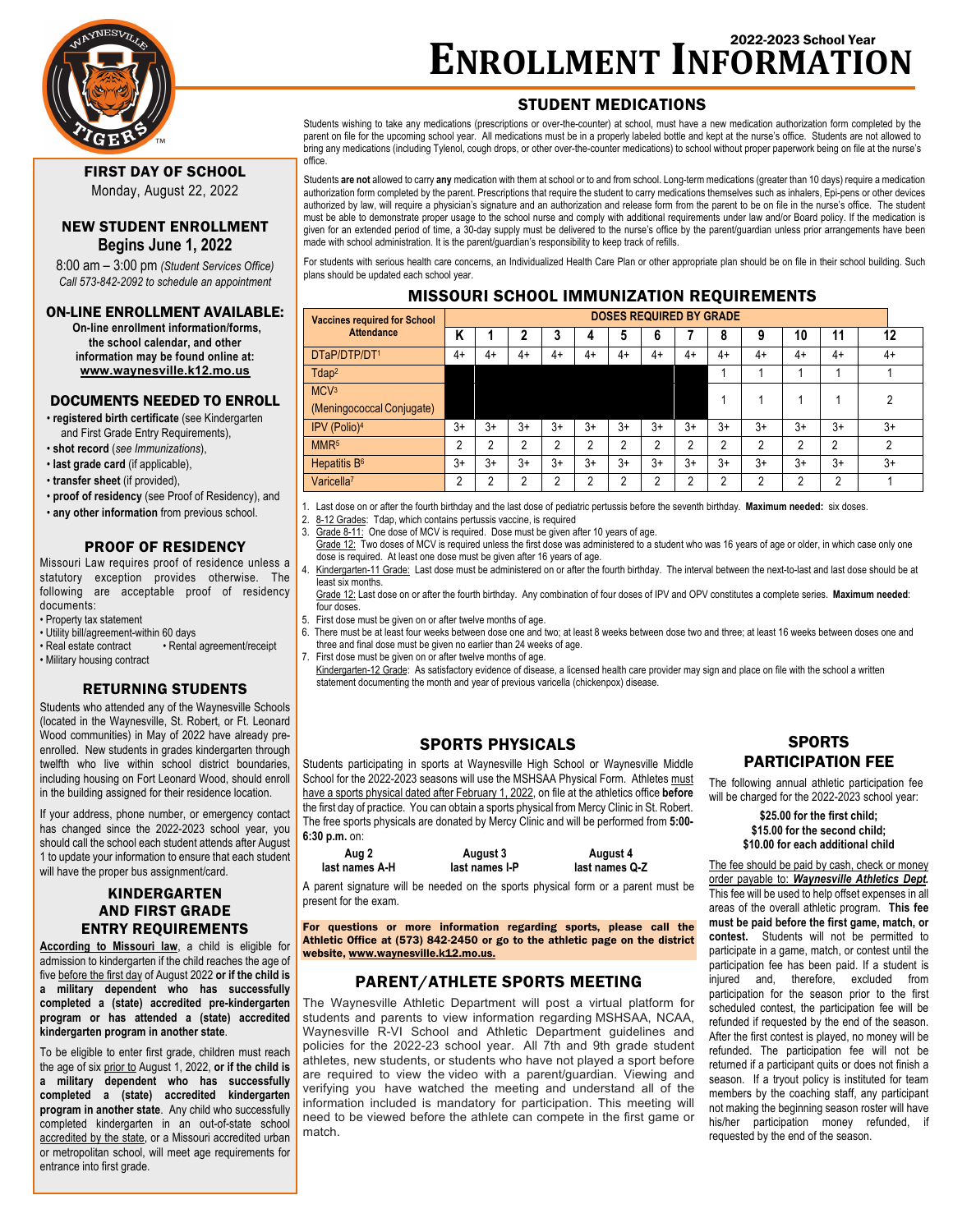

# **ENROLLMENT INFORMATION** 2022-2023 School Year

## STUDENT MEDICATIONS

Students wishing to take any medications (prescriptions or over-the-counter) at school, must have a new medication authorization form completed by the parent on file for the upcoming school year. All medications must be in a properly labeled bottle and kept at the nurse's office. Students are not allowed to bring any medications (including Tylenol, cough drops, or other over-the-counter medications) to school without proper paperwork being on file at the nurse's office.

Students **are not** allowed to carry **any** medication with them at school or to and from school. Long-term medications (greater than 10 days) require a medication authorization form completed by the parent. Prescriptions that require the student to carry medications themselves such as inhalers, Epi-pens or other devices authorized by law, will require a physician's signature and an authorization and release form from the parent to be on file in the nurse's office. The student must be able to demonstrate proper usage to the school nurse and comply with additional requirements under law and/or Board policy. If the medication is given for an extended period of time, a 30-day supply must be delivered to the nurse's office by the parent/guardian unless prior arrangements have been made with school administration. It is the parent/guardian's responsibility to keep track of refills.

For students with serious health care concerns, an Individualized Health Care Plan or other appropriate plan should be on file in their school building. Such plans should be updated each school year.

## MISSOURI SCHOOL IMMUNIZATION REQUIREMENTS

| <b>Vaccines required for School</b> | <b>DOSES REQUIRED BY GRADE</b> |    |      |      |      |      |      |      |    |    |      |      |      |
|-------------------------------------|--------------------------------|----|------|------|------|------|------|------|----|----|------|------|------|
| <b>Attendance</b>                   | K                              |    |      | 3    | 4    | 5    | 6    |      | 8  | 9  | 10   | 11   | 12   |
| DTaP/DTP/DT1                        | 4+                             | 4+ | 4+   | 4+   | 4+   | 4+   | 4+   | 4+   | 4+ | 4+ | 4+   | 4+   | 4+   |
| $T$ dap <sup>2</sup>                |                                |    |      |      |      |      |      |      |    |    |      |      |      |
| MCV <sup>3</sup>                    |                                |    |      |      |      |      |      |      |    |    |      |      | ∩    |
| (Meningococcal Conjugate)           |                                |    |      |      |      |      |      |      |    |    |      |      |      |
| IPV (Polio) <sup>4</sup>            | $3+$                           | 3+ | $3+$ | $3+$ | $3+$ | $3+$ | $3+$ | $3+$ | 3+ | 3+ | $3+$ | $3+$ | $3+$ |
| MMR <sup>5</sup>                    | c                              | າ  | ↑    | ↑    | າ    | 2    | ∩    | າ    | ∩  | っ  | ◠    | っ    | ∩    |
| Hepatitis B <sup>6</sup>            | $3+$                           | 3+ | $3+$ | $3+$ | $3+$ | $3+$ | $3+$ | $3+$ | 3+ | 3+ | $3+$ | $3+$ | $3+$ |
| Varicella <sup>7</sup>              | ŋ                              | າ  | ∩    | ∩    | າ    | ↑    | ∩    | ∩    | ∩  | ∩  | ∩    | ◠    |      |

1. Last dose on or after the fourth birthday and the last dose of pediatric pertussis before the seventh birthday. **Maximum needed:** six doses.

- 2.  $8-12$  Grades: Tdap, which contains pertussis vaccine, is required 3 Grade  $8-11$ : One dose of MCV is required Dose must be given a Grade 8-11: One dose of MCV is required. Dose must be given after 10 years of age.
- Grade 12: Two doses of MCV is required unless the first dose was administered to a student who was 16 years of age or older, in which case only one dose is required. At least one dose must be given after 16 years of age.
- 4. Kindergarten-11 Grade: Last dose must be administered on or after the fourth birthday. The interval between the next-to-last and last dose should be at least six months.

Grade 12: Last dose on or after the fourth birthday. Any combination of four doses of IPV and OPV constitutes a complete series. **Maximum needed**: four doses.

- 5. First dose must be given on or after twelve months of age.
- 6. There must be at least four weeks between dose one and two; at least 8 weeks between dose two and three; at least 16 weeks between doses one and three and final dose must be given no earlier than 24 weeks of age.
- 7. First dose must be given on or after twelve months of age.

Kindergarten-12 Grade: As satisfactory evidence of disease, a licensed health care provider may sign and place on file with the school a written statement documenting the month and year of previous varicella (chickenpox) disease.

## SPORTS PHYSICALS

Students participating in sports at Waynesville High School or Waynesville Middle School for the 2022-2023 seasons will use the MSHSAA Physical Form. Athletes must have a sports physical dated after February 1, 2022, on file at the athletics office **before** the first day of practice. You can obtain a sports physical from Mercy Clinic in St. Robert. The free sports physicals are donated by Mercy Clinic and will be performed from **5:00- 6:30 p.m.** on:

| .              |                |                |
|----------------|----------------|----------------|
| Aug 2          | August 3       | August 4       |
| last names A-H | last names I-P | last names Q-Z |

A parent signature will be needed on the sports physical form or a parent must be present for the exam.

For questions or more information regarding sports, please call the Athletic Office at (573) 842-2450 or go to the athletic page on the district website, www.waynesville.k12.mo.us.

## PARENT/ATHLETE SPORTS MEETING

The Waynesville Athletic Department will post a virtual platform for students and parents to view information regarding MSHSAA, NCAA, Waynesville R-VI School and Athletic Department guidelines and policies for the 2022-23 school year. All 7th and 9th grade student athletes, new students, or students who have not played a sport before are required to view the video with a parent/guardian. Viewing and verifying you have watched the meeting and understand all of the information included is mandatory for participation. This meeting will need to be viewed before the athlete can compete in the first game or match.

## **SPORTS** PARTICIPATION FEE

The following annual athletic participation fee will be charged for the 2022-2023 school year:

> **\$25.00 for the first child; \$15.00 for the second child; \$10.00 for each additional child**

The fee should be paid by cash, check or money order payable to: *Waynesville Athletics Dept.* This fee will be used to help offset expenses in all areas of the overall athletic program. **This fee must be paid before the first game, match, or contest.** Students will not be permitted to participate in a game, match, or contest until the participation fee has been paid. If a student is injured and, therefore, excluded from participation for the season prior to the first scheduled contest, the participation fee will be refunded if requested by the end of the season. After the first contest is played, no money will be refunded. The participation fee will not be returned if a participant quits or does not finish a season. If a tryout policy is instituted for team members by the coaching staff, any participant not making the beginning season roster will have his/her participation money refunded, if requested by the end of the season.

## FIRST DAY OF SCHOOL Monday, August 22, 2022

## NEW STUDENT ENROLLMENT **Begins June 1, 2022**

8:00 am – 3:00 pm *(Student Services Office) Call 573-842-2092 to schedule an appointment*

### ON-LINE ENROLLMENT AVAILABLE:

**On-line enrollment information/forms, the school calendar, and other information may be found online at: www.waynesville.k12.mo.us**

## DOCUMENTS NEEDED TO ENROLL

• **registered birth certificate** (see Kindergarten and First Grade Entry Requirements),

- **shot record** (*see Immunizations*),
- **last grade card** (if applicable),
- **transfer sheet** (if provided),
- **proof of residency** (see Proof of Residency), and
- **any other information** from previous school.

## PROOF OF RESIDENCY

Missouri Law requires proof of residence unless a statutory exception provides otherwise. The following are acceptable proof of residency documents:

- Property tax statement
- Utility bill/agreement-within 60 days<br>• Real estate contract Rental
- $\cdot$  Rental agreement/receipt • Military housing contract

### RETURNING STUDENTS

Students who attended any of the Waynesville Schools (located in the Waynesville, St. Robert, or Ft. Leonard Wood communities) in May of 2022 have already preenrolled. New students in grades kindergarten through twelfth who live within school district boundaries, including housing on Fort Leonard Wood, should enroll in the building assigned for their residence location.

If your address, phone number, or emergency contact has changed since the 2022-2023 school year, you should call the school each student attends after August 1 to update your information to ensure that each student will have the proper bus assignment/card.

## KINDERGARTEN AND FIRST GRADE ENTRY REQUIREMENTS

**According to Missouri law**, a child is eligible for admission to kindergarten if the child reaches the age of five before the first day of August 2022 **or if the child is a military dependent who has successfully completed a (state) accredited pre-kindergarten program or has attended a (state) accredited kindergarten program in another state**.

To be eligible to enter first grade, children must reach the age of six prior to August 1, 2022, **or if the child is a military dependent who has successfully completed a (state) accredited kindergarten program in another state**. Any child who successfully completed kindergarten in an out-of-state school accredited by the state, or a Missouri accredited urban or metropolitan school, will meet age requirements for entrance into first grade.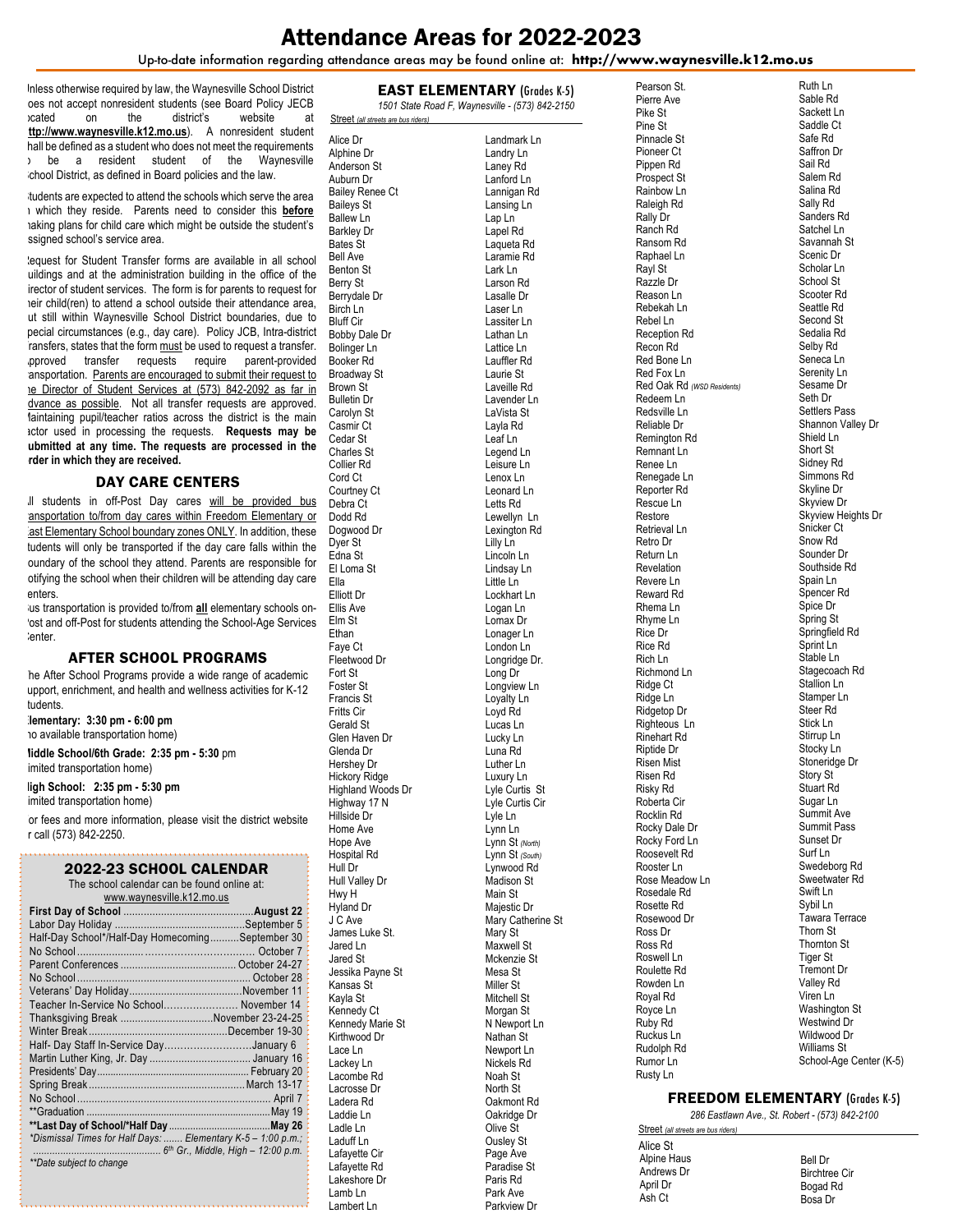## Attendance Areas for 2022-2023

Up-to-date information regarding attendance areas may be found online at: **http://www.waynesville.k12.mo.us**

Inless otherwise required by law, the Waynesville School District oes not accept nonresident students (see Board Policy JECB<br>  $\frac{1}{2}$  cated on the district's website at located on the district's website at **http://www.waynesville.k12.mo.us**). A nonresident student hall be defined as a student who does not meet the requirements to be a resident student of the Waynesville chool District, as defined in Board policies and the law.

tudents are expected to attend the schools which serve the area in which they reside. Parents need to consider this **before** making plans for child care which might be outside the student's ssigned school's service area.

lequest for Student Transfer forms are available in all school uildings and at the administration building in the office of the irector of student services. The form is for parents to request for teir child(ren) to attend a school outside their attendance area, ut still within Waynesville School District boundaries, due to pecial circumstances (e.g., day care). Policy JCB, Intra-district ransfers, states that the form must be used to request a transfer. pproved transfer requests require parent-provided ansportation. Parents are encouraged to submit their request to the Director of Student Services at (573) 842-2092 as far in dvance as possible. Not all transfer requests are approved. Maintaining pupil/teacher ratios across the district is the main actor used in processing the requests. **Requests may be submitted at any time. The requests are processed in the order in which they are received.**

### DAY CARE CENTERS

Il students in off-Post Day cares will be provided bus ansportation to/from day cares within Freedom Elementary or ast Elementary School boundary zones ONLY. In addition, these tudents will only be transported if the day care falls within the boundary of the school they attend. Parents are responsible for otifying the school when their children will be attending day care enters.

lus transportation is provided to/from all elementary schools on-'ost and off-Post for students attending the School-Age Services enter.

### AFTER SCHOOL PROGRAMS

he After School Programs provide a wide range of academic upport, enrichment, and health and wellness activities for K-12 tudents.

**Elementary: 3:30 pm - 6:00 pm** to available transportation home)

**Middle School/6th Grade: 2:35 pm - 5:30** pm imited transportation home)

**High School: 2:35 pm - 5:30 pm** 

imited transportation home)

or fees and more information, please visit the district website or call (573) 842-2250.

#### 2022-23 SCHOOL CALENDAR

|  | LULL LU UUIIUUL URLLIIDRII                  |
|--|---------------------------------------------|
|  | The school calendar can be found online at: |

| www.waynesville.k12.mo.us                                    |  |  |  |  |
|--------------------------------------------------------------|--|--|--|--|
|                                                              |  |  |  |  |
|                                                              |  |  |  |  |
| Half-Day School*/Half-Day HomecomingSeptember 30             |  |  |  |  |
|                                                              |  |  |  |  |
|                                                              |  |  |  |  |
| No School.                                                   |  |  |  |  |
|                                                              |  |  |  |  |
| Teacher In-Service No School November 14                     |  |  |  |  |
| Thanksgiving Break November 23-24-25                         |  |  |  |  |
|                                                              |  |  |  |  |
| Half- Day Staff In-Service DayJanuary 6                      |  |  |  |  |
|                                                              |  |  |  |  |
|                                                              |  |  |  |  |
|                                                              |  |  |  |  |
|                                                              |  |  |  |  |
|                                                              |  |  |  |  |
|                                                              |  |  |  |  |
| *Dismissal Times for Half Days:  Elementary K-5 - 1:00 p.m.; |  |  |  |  |
|                                                              |  |  |  |  |
| **Date subject to change                                     |  |  |  |  |

|                      | 1501 State Road F, Wayne                   |
|----------------------|--------------------------------------------|
|                      | <b>Street</b> (all streets are bus riders) |
|                      | Alice Dr                                   |
|                      | Alphine Dr                                 |
|                      | Anderson St                                |
|                      | Auburn Dr                                  |
|                      | <b>Bailey Renee Ct</b>                     |
|                      | Baileys St                                 |
|                      | <b>Ballew Ln</b>                           |
|                      | Barkley Dr                                 |
|                      | <b>Bates St</b>                            |
|                      | <b>Bell Ave</b>                            |
|                      | <b>Benton St</b>                           |
|                      | Berry St                                   |
|                      | Berrydale Dr                               |
| l                    | Birch Ln                                   |
| I                    | <b>Bluff Cir</b>                           |
| t                    | Bobby Dale Dr                              |
|                      | Bolinger Ln                                |
|                      | Booker Rd                                  |
| l                    | Broadway St                                |
| ļ                    | <b>Brown St</b>                            |
|                      | <b>Bulletin Dr</b>                         |
| I                    | Carolyn St                                 |
|                      | Casmir Ct                                  |
| $\vdots$             | Cedar St                                   |
|                      | Charles St                                 |
|                      | Collier Rd                                 |
|                      | Cord Ct                                    |
|                      | Courtney Ct                                |
|                      | Debra Ct                                   |
|                      | Dodd Rd                                    |
| $\ddot{\phantom{0}}$ | Dogwood Dr                                 |
| $\ddot{\phantom{0}}$ | Dyer St                                    |
|                      | Edna St                                    |
|                      | El Loma St                                 |
| ļ                    | Ella                                       |
|                      | Elliott Dr                                 |
|                      | Ellis Ave                                  |
|                      | Elm St                                     |
|                      | Ethan                                      |
|                      | Faye Ct                                    |
|                      | Fleetwood Dr                               |
|                      | Fort St                                    |
|                      | Foster St                                  |
|                      | Francis St                                 |
|                      | <b>Fritts Cir</b>                          |
|                      | Gerald St                                  |
|                      | Glen Haven Dr                              |
|                      | Glenda Dr                                  |
|                      | Hershey Dr                                 |
|                      | <b>Hickory Ridge</b>                       |
|                      | Highland Woods Dr                          |
|                      | Highway 17 N                               |
|                      | Hillside Dr                                |
|                      | Home Ave                                   |
|                      | Hope Ave                                   |
|                      | Hospital Rd<br>Hull Dr                     |
|                      | <b>Hull Valley Dr</b>                      |
|                      | Hwy H                                      |
|                      | Hyland Dr                                  |
|                      | J C Ave                                    |
|                      | James Luke St.                             |
|                      | Jared Ln                                   |
|                      | Jared St                                   |
|                      | Jessika Payne St                           |
|                      | Kansas St                                  |
|                      | Kayla St                                   |
|                      | Kennedy Ct                                 |
|                      | Kennedy Marie St                           |
|                      | Kirthwood Dr                               |
|                      | Lace Ln                                    |
|                      | Lackey Ln                                  |
|                      | Lacombe Rd                                 |
|                      | Lacrosse Dr                                |
|                      | Ladera Rd                                  |
|                      | Laddie Ln                                  |
|                      | Ladle Ln                                   |
|                      | Laduff Ln                                  |
|                      | Lafayette Cir                              |
|                      | Lafayette Rd                               |
|                      | Lakeshore Dr                               |
|                      | Lamb Ln                                    |
|                      | Lambert Ln                                 |
|                      |                                            |

EAST ELEMENTARY (Grades K-5) *1501 State Road F, Waynesville - (573) 842-2150* Landmark Ln Landry Ln Laney Rd Lanford Ln Lannigan Rd Lansing Ln Lap Ln Lapel Rd Laqueta Rd Laramie Rd Lark Ln Larson Rd Lasalle Dr Laser Ln Lassiter Ln Lathan Ln Lattice Ln Lauffler Rd Laurie St Laveille Rd Lavender Ln LaVista St Layla Rd Leaf Ln Legend Ln Leisure Ln Lenox Ln Leonard Ln Letts Rd Lewellyn Ln Lexington Rd Lilly Ln Lincoln Ln Lindsay Ln Little Ln Lockhart Ln Logan Ln Lomax Dr Lonager Ln London Ln Longridge Dr. Long Dr Longview Ln Loyalty Ln Loyd Rd Lucas Ln Lucky Ln Luna Rd Luther Ln Luxury Ln Lyle Curtis St Lyle Curtis Cir Lyle Ln Lynn Ln Lynn St *(North)* Lynn St *(South)* Lynwood Rd Madison St Main St Majestic Dr Mary Catherine St Mary St Maxwell St Mckenzie St Mesa St Miller St Mitchell St Morgan St N Newport Ln Nathan St Newport Ln Nickels Rd Noah St North St Oakmont Rd Oakridge Dr Olive St Ousley St Page Ave Paradise St Paris Rd Park Ave Parkview Dr

Pearson St. Pierre Ave Pike St Pine St Pinnacle St Pioneer Ct Pippen Rd Prospect St Rainbow Ln Raleigh Rd Rally Dr Ranch Rd Ransom Rd Raphael Ln Rayl St Razzle Dr Reason Ln Rebekah Ln Rebel Ln Reception Rd Recon Rd Red Bone Ln Red Fox Ln Red Oak Rd *(WSD Residents)* Redeem Ln Redsville Ln Reliable Dr Remington Rd Remnant Ln Renee Ln Renegade Ln Reporter Rd Rescue Ln Restore Retrieval Ln Retro Dr Return Ln Revelation Revere Ln Reward Rd Rhema Ln Rhyme Ln Rice Dr Rice Rd Rich Ln Richmond Ln Ridge Ct Ridge Ln Ridgetop Dr Righteous Ln Rinehart Rd Riptide Dr Risen Mist Risen Rd Risky Rd Roberta Cir Rocklin Rd Rocky Dale Dr Rocky Ford Ln Roosevelt Rd Rooster Ln Rose Meadow Ln Rosedale Rd Rosette Rd Rosewood Dr Ross Dr Ross Rd Roswell Ln Roulette Rd Rowden Ln Royal Rd Royce Ln Ruby Rd Ruckus Ln Rudolph Rd Rumor Ln Rusty Ln

Ruth Ln Sable Rd Sackett Ln Saddle Ct Safe Rd Saffron Dr Sail Rd Salem Rd Salina Rd Sally Rd Sanders Rd Satchel Ln Savannah St Scenic Dr Scholar Ln School St Scooter Rd Seattle Rd Second St Sedalia Rd Selby Rd Seneca Ln Serenity Ln Sesame Dr Seth Dr Settlers Pass Shannon Valley Dr Shield Ln Short St Sidney Rd Simmons Rd Skyline Dr Skyview Dr Skyview Heights Dr Snicker Ct Snow Rd Sounder Dr Southside Rd Spain Ln Spencer Rd Spice Dr Spring St Springfield Rd Sprint Ln Stable Ln Stagecoach Rd Stallion Ln Stamper Ln Steer Rd Stick Ln Stirrup Ln Stocky Ln Stoneridge Dr Story St Stuart Rd Sugar Ln Summit Ave Summit Pass Sunset Dr Surf Ln Swedeborg Rd Sweetwater Rd Swift Ln Sybil Ln Tawara Terrace Thorn St Thornton St Tiger St Tremont Dr Valley Rd Viren Ln Washington St Westwind Dr Wildwood Dr Williams St School-Age Center (K-5)

### FREEDOM ELEMENTARY (Grades K-5)

*286 Eastlawn Ave., St. Robert - (573) 842-2100* Street *(all streets are bus riders)*

Alpine Haus Andrews Dr April Dr Ash Ct Alice St

Bell Dr Birchtree Cir Bogad Rd Bosa Dr